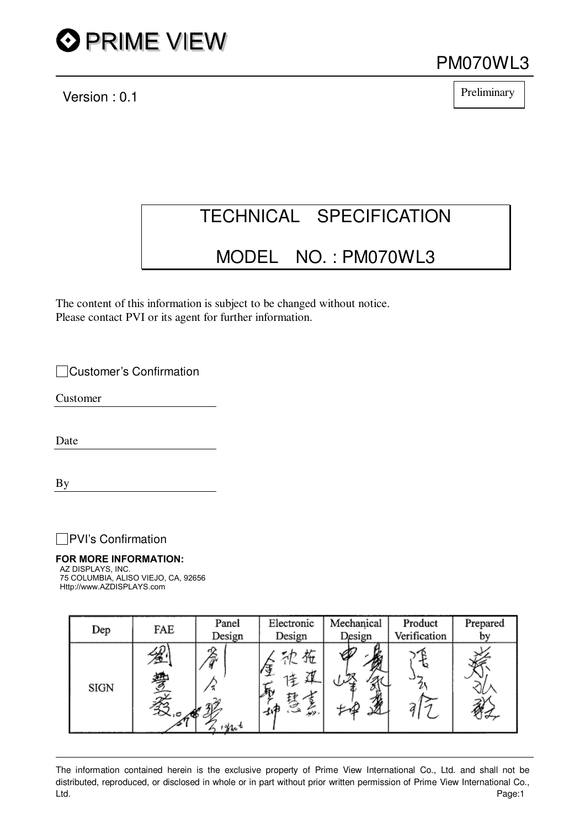

Version : 0.1

PM070WL3

Preliminary

## TECHNICAL SPECIFICATION

### MODEL NO. : PM070WL3

The content of this information is subject to be changed without notice. Please contact PVI or its agent for further information.

Customer's Confirmation

Customer

Date

By

**PVI**'s Confirmation

#### **FOR MORE INFORMATION:**AZ DISPLAYS, INC.

75 COLUMBIA, ALISO VIEJO, CA, 92656 Http://www.AZDISPLAYS.com

| Dep  | FAE                     | Panel<br>Design      | Electronic<br>Design | Mechanical<br>Design | Product<br>Verification | Prepared<br>by |
|------|-------------------------|----------------------|----------------------|----------------------|-------------------------|----------------|
| SIGN | $\overline{X}$<br>-⊘⊾⊳⊳ | c1)<br>$1 + 10^{-4}$ | ΫΗ<br>. نوپور        |                      |                         |                |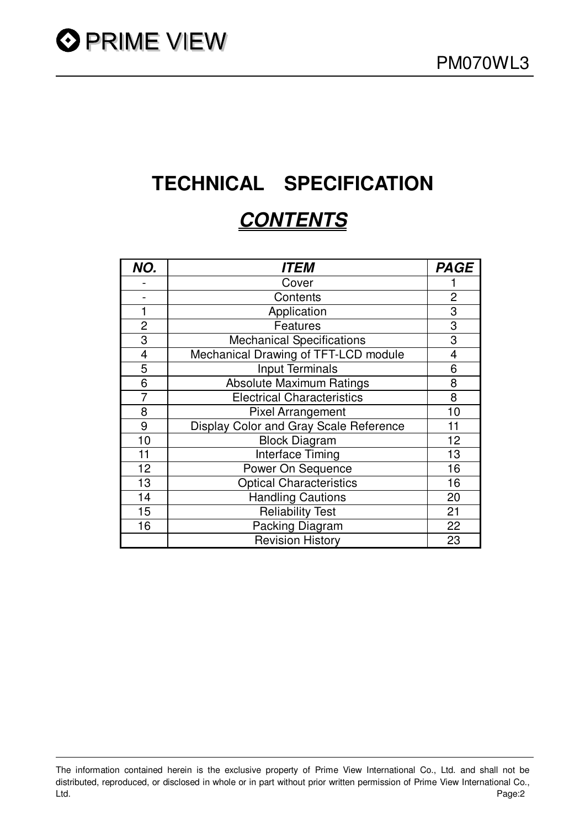# **TECHNICAL SPECIFICATION**

# **CONTENTS**

| NO.            | <i><b>ITEM</b></i>                     | <b>PAGE</b>    |
|----------------|----------------------------------------|----------------|
|                | Cover                                  |                |
|                | Contents                               | $\overline{2}$ |
| 1              | Application                            | 3              |
| 2              | <b>Features</b>                        | 3              |
| 3              | <b>Mechanical Specifications</b>       | 3              |
| $\overline{4}$ | Mechanical Drawing of TFT-LCD module   | 4              |
| 5              | <b>Input Terminals</b>                 | 6              |
| 6              | <b>Absolute Maximum Ratings</b>        | 8              |
| 7              | <b>Electrical Characteristics</b>      | 8              |
| 8              | <b>Pixel Arrangement</b>               | 10             |
| 9              | Display Color and Gray Scale Reference | 11             |
| 10             | <b>Block Diagram</b>                   | 12             |
| 11             | Interface Timing                       | 13             |
| 12             | Power On Sequence                      | 16             |
| 13             | <b>Optical Characteristics</b>         | 16             |
| 14             | <b>Handling Cautions</b>               | 20             |
| 15             | <b>Reliability Test</b>                | 21             |
| 16             | Packing Diagram                        | 22             |
|                | <b>Revision History</b>                | 23             |

The information contained herein is the exclusive property of Prime View International Co., Ltd. and shall not be distributed, reproduced, or disclosed in whole or in part without prior written permission of Prime View International Co., Ltd. Page:2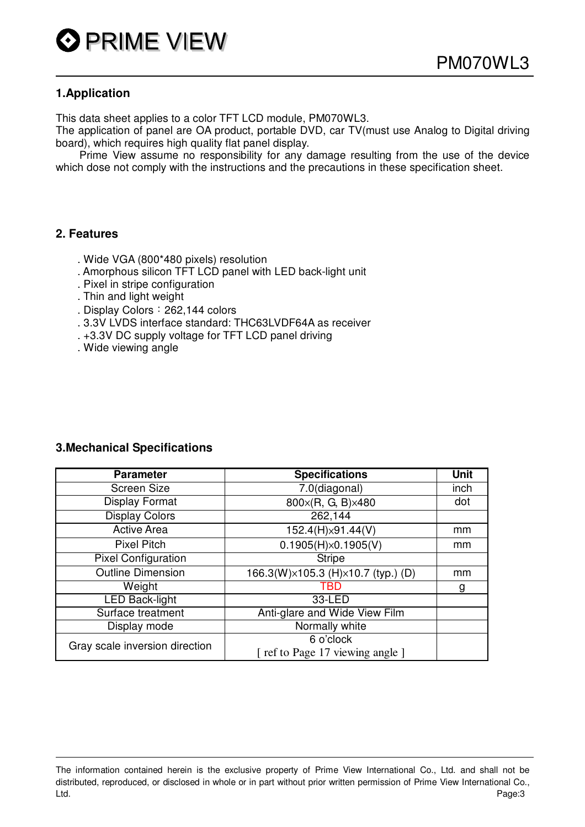#### **1.Application**

This data sheet applies to a color TFT LCD module, PM070WL3.

The application of panel are OA product, portable DVD, car TV(must use Analog to Digital driving board), which requires high quality flat panel display.

Prime View assume no responsibility for any damage resulting from the use of the device which dose not comply with the instructions and the precautions in these specification sheet.

#### **2. Features**

- . Wide VGA (800\*480 pixels) resolution
- . Amorphous silicon TFT LCD panel with LED back-light unit
- . Pixel in stripe configuration
- . Thin and light weight
- . Display Colors: 262,144 colors
- . 3.3V LVDS interface standard: THC63LVDF64A as receiver
- . +3.3V DC supply voltage for TFT LCD panel driving
- . Wide viewing angle

#### **3.Mechanical Specifications**

| <b>Parameter</b>               | <b>Specifications</b>              | <b>Unit</b> |
|--------------------------------|------------------------------------|-------------|
| Screen Size                    | $7.0$ (diagonal)                   | inch        |
| <b>Display Format</b>          | 800×(R, G, B)×480                  | dot         |
| <b>Display Colors</b>          | 262,144                            |             |
| <b>Active Area</b>             | 152.4(H)×91.44(V)                  | mm          |
| <b>Pixel Pitch</b>             | $0.1905(H) \times 0.1905(V)$       | mm          |
| <b>Pixel Configuration</b>     | <b>Stripe</b>                      |             |
| <b>Outline Dimension</b>       | 166.3(W)×105.3 (H)×10.7 (typ.) (D) | mm          |
| Weight                         | TRD                                | g           |
| <b>LED Back-light</b>          | 33-LED                             |             |
| Surface treatment              | Anti-glare and Wide View Film      |             |
| Display mode                   | Normally white                     |             |
| Gray scale inversion direction | 6 o'clock                          |             |
|                                | [ ref to Page 17 viewing angle ]   |             |

The information contained herein is the exclusive property of Prime View International Co., Ltd. and shall not be distributed, reproduced, or disclosed in whole or in part without prior written permission of Prime View International Co., Ltd. Page:3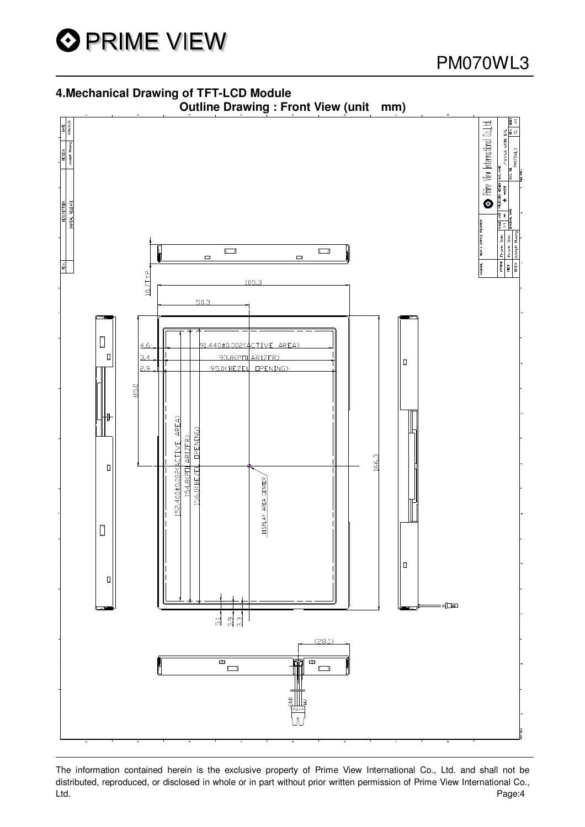

#### **4.Mechanical Drawing of TFT-LCD Module**



The information contained herein is the exclusive property of Prime View International Co., Ltd. and shall not be distributed, reproduced, or disclosed in whole or in part without prior written permission of Prime View International Co., Ltd. Page:4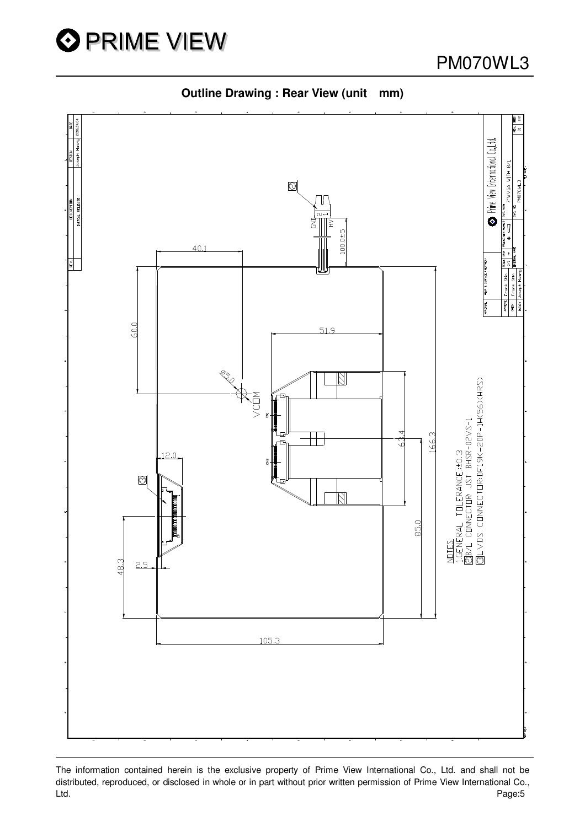

5 S Prine View International Co.,Ltd. 7'WVGA WITH B/L  $\circledcirc$ PM070VL DVG. NHK  $\begin{bmatrix} \overline{\mathbf{u}} \\ \overline{\mathbf{v}} \end{bmatrix}$  $\frac{1}{2}$  $40.1$ 칇 HEAT & SUBFACE TREATMENT Frank<sup>-</sup> **PROVE**  $60.0$  $51.9$ **ESSER** <u>NITES</u><br>1.GENERAL TOLERANCE.:±0.3<br>@B/L CONNECTOR: JST BHSR-02VS-1<br>@LVDS CONNECTOR:DF19K-20P-1H(56)(HRS) ANSIV<br>Ansi 166.3 12.0  $\odot$ 85.0  $48.3$  $2.5$ 105.3

**Outline Drawing : Rear View (unit mm)**

The information contained herein is the exclusive property of Prime View International Co., Ltd. and shall not be distributed, reproduced, or disclosed in whole or in part without prior written permission of Prime View International Co., Ltd. Page:5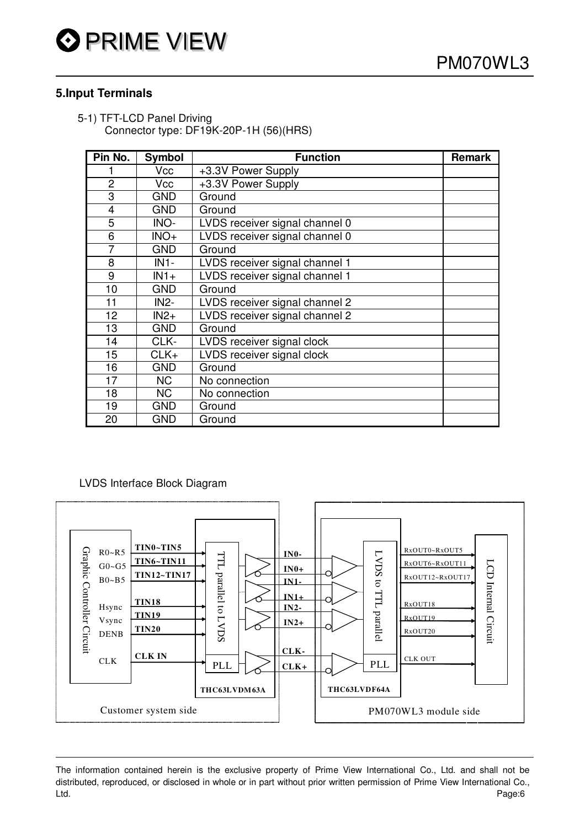#### **5.Input Terminals**

5-1) TFT-LCD Panel Driving Connector type: DF19K-20P-1H (56)(HRS)

| Pin No.        | <b>Symbol</b> | <b>Function</b>                | <b>Remark</b> |
|----------------|---------------|--------------------------------|---------------|
|                | Vcc           | +3.3V Power Supply             |               |
| 2              | Vcc           | +3.3V Power Supply             |               |
| 3              | <b>GND</b>    | Ground                         |               |
| 4              | <b>GND</b>    | Ground                         |               |
| 5              | INO-          | LVDS receiver signal channel 0 |               |
| 6              | $INO+$        | LVDS receiver signal channel 0 |               |
| $\overline{7}$ | <b>GND</b>    | Ground                         |               |
| 8              | $IN1-$        | LVDS receiver signal channel 1 |               |
| 9              | $IN1+$        | LVDS receiver signal channel 1 |               |
| 10             | <b>GND</b>    | Ground                         |               |
| 11             | <b>IN2-</b>   | LVDS receiver signal channel 2 |               |
| 12             | $IN2+$        | LVDS receiver signal channel 2 |               |
| 13             | <b>GND</b>    | Ground                         |               |
| 14             | CLK-          | LVDS receiver signal clock     |               |
| 15             | $CLK+$        | LVDS receiver signal clock     |               |
| 16             | <b>GND</b>    | Ground                         |               |
| 17             | NC.           | No connection                  |               |
| 18             | NC.           | No connection                  |               |
| 19             | <b>GND</b>    | Ground                         |               |
| 20             | <b>GND</b>    | Ground                         |               |

LVDS Interface Block Diagram



The information contained herein is the exclusive property of Prime View International Co., Ltd. and shall not be distributed, reproduced, or disclosed in whole or in part without prior written permission of Prime View International Co., Ltd. Page:6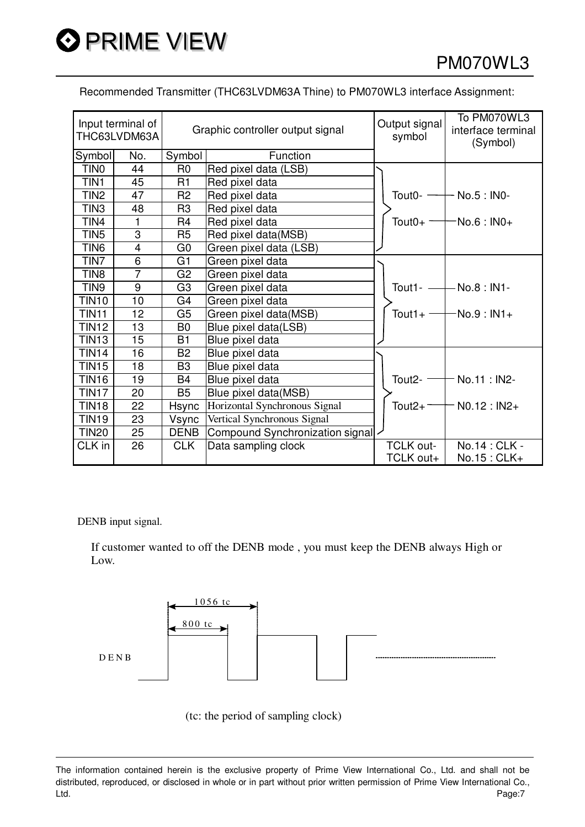Recommended Transmitter (THC63LVDM63A Thine) to PM070WL3 interface Assignment:

|                  | Input terminal of<br>THC63LVDM63A |                | Graphic controller output signal | Output signal<br>symbol | To PM070WL3<br>interface terminal<br>(Symbol) |
|------------------|-----------------------------------|----------------|----------------------------------|-------------------------|-----------------------------------------------|
| Symbol           | No.                               | Symbol         | Function                         |                         |                                               |
| TIN <sub>0</sub> | 44                                | R <sub>0</sub> | Red pixel data (LSB)             |                         |                                               |
| TIN1             | 45                                | R <sub>1</sub> | Red pixel data                   |                         |                                               |
| TIN <sub>2</sub> | 47                                | R <sub>2</sub> | Red pixel data                   | Tout0- $-$              | No.5 : <b>INO-</b>                            |
| TIN <sub>3</sub> | 48                                | R <sub>3</sub> | Red pixel data                   |                         |                                               |
| TIN4             | 1                                 | R <sub>4</sub> | Red pixel data                   | Tout $0+$ -             | $-$ No.6 : IN0+                               |
| TIN <sub>5</sub> | 3                                 | R <sub>5</sub> | Red pixel data(MSB)              |                         |                                               |
| TIN <sub>6</sub> | $\overline{\mathbf{4}}$           | G <sub>0</sub> | Green pixel data (LSB)           |                         |                                               |
| TIN7             | 6                                 | G <sub>1</sub> | Green pixel data                 |                         |                                               |
| TIN <sub>8</sub> | $\overline{7}$                    | G <sub>2</sub> | Green pixel data                 |                         |                                               |
| TIN9             | 9                                 | G <sub>3</sub> | Green pixel data                 | Tout1- $-$              | $-$ No.8 : IN1-                               |
| <b>TIN10</b>     | 10                                | G4             | Green pixel data                 |                         |                                               |
| <b>TIN11</b>     | 12                                | G <sub>5</sub> | Green pixel data(MSB)            | Tout $1+$ $-$           | $-No.9:IN1+$                                  |
| <b>TIN12</b>     | 13                                | B <sub>0</sub> | Blue pixel data(LSB)             |                         |                                               |
| <b>TIN13</b>     | 15                                | B1             | Blue pixel data                  |                         |                                               |
| <b>TIN14</b>     | 16                                | <b>B2</b>      | Blue pixel data                  |                         |                                               |
| <b>TIN15</b>     | 18                                | B <sub>3</sub> | Blue pixel data                  |                         |                                               |
| <b>TIN16</b>     | 19                                | <b>B4</b>      | Blue pixel data                  | Tout $2-$               | No.11: IN2-                                   |
| <b>TIN17</b>     | 20                                | <b>B5</b>      | Blue pixel data(MSB)             |                         |                                               |
| <b>TIN18</b>     | 22                                | Hsync          | Horizontal Synchronous Signal    | Tout $2+$               | $NO.12 : IN2+$                                |
| <b>TIN19</b>     | 23                                | Vsync          | Vertical Synchronous Signal      |                         |                                               |
| <b>TIN20</b>     | 25                                | <b>DENB</b>    | Compound Synchronization signal  |                         |                                               |
| CLK in           | 26                                | <b>CLK</b>     | Data sampling clock              | <b>TCLK out-</b>        | No.14 : CLK -                                 |
|                  |                                   |                |                                  | TCLK out+               | No.15: CLK+                                   |

DENB input signal.

If customer wanted to off the DENB mode , you must keep the DENB always High or Low.



(tc: the period of sampling clock)

The information contained herein is the exclusive property of Prime View International Co., Ltd. and shall not be distributed, reproduced, or disclosed in whole or in part without prior written permission of Prime View International Co., Ltd. Page:7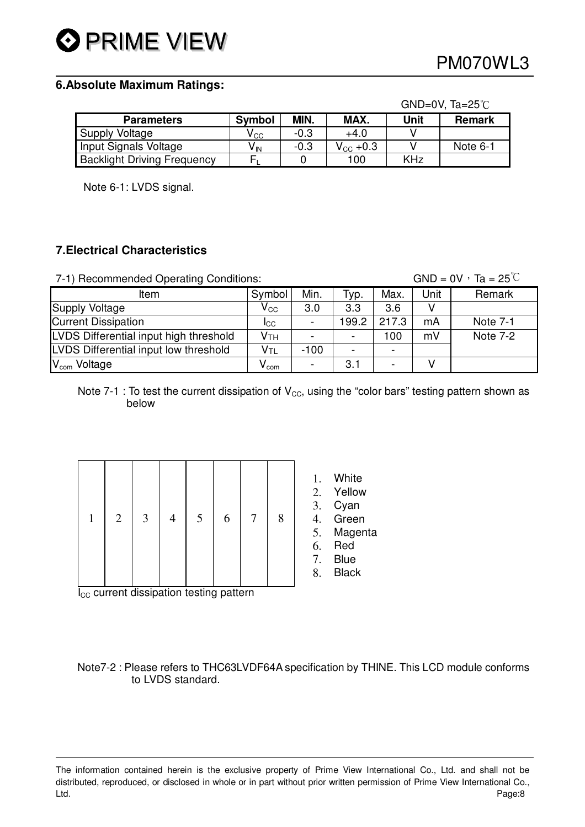# O PRIME VIEW

#### **6.Absolute Maximum Ratings:**

|                                    |                            |        |                      | $GND=0V$ , Ta=25 $°C$ |               |  |  |
|------------------------------------|----------------------------|--------|----------------------|-----------------------|---------------|--|--|
| <b>Parameters</b>                  | <b>Symbol</b>              | MIN.   | MAX.                 | Unit                  | <b>Remark</b> |  |  |
| Supply Voltage                     | $\mathsf{V}_{\mathsf{CC}}$ | $-0.3$ | $+4.0$               |                       |               |  |  |
| Input Signals Voltage              | $V_{\text{IN}}$            | $-0.3$ | $V_{\text{CC}}$ +0.3 |                       | Note 6-1      |  |  |
| <b>Backlight Driving Frequency</b> | E.                         |        | 100                  | <b>KHz</b>            |               |  |  |

Note 6-1: LVDS signal.

#### **7.Electrical Characteristics**

7-1) Recommended Operating Conditions: GND =  $0V \cdot Ta = 25^{\circ}C$ 

| ີ                                      |                            |                          |                          |       |      |          |
|----------------------------------------|----------------------------|--------------------------|--------------------------|-------|------|----------|
| Item                                   | Symbol                     | Min.                     | Typ.                     | Max.  | Unit | Remark   |
| Supply Voltage                         | $\mathsf{V}_{\mathsf{CC}}$ | 3.0                      | 3.3                      | 3.6   |      |          |
| <b>Current Dissipation</b>             | <b>I</b> CC                | $\overline{\phantom{a}}$ | 199.2                    | 217.3 | mA   | Note 7-1 |
| LVDS Differential input high threshold | Vтн                        | $\blacksquare$           | $\overline{\phantom{a}}$ | 100   | mV   | Note 7-2 |
| LVDS Differential input low threshold  | V <sub>TL</sub>            | $-100$                   | -                        |       |      |          |
| V <sub>com</sub> Voltage               | <b>V</b> com               | -                        | 3.1                      |       |      |          |

Note 7-1 : To test the current dissipation of  $V_{\text{cc}}$ , using the "color bars" testing pattern shown as below

| $\mathbf{1}$ |  | $2 \mid 3 \mid$ | 4 | 5 <sup>1</sup> | 6 <sup>1</sup> | 7 <sup>1</sup> | $\, 8$ | 2<br>$\overline{a}$<br>$\overline{\mathbf{A}}$<br>f<br>C |
|--------------|--|-----------------|---|----------------|----------------|----------------|--------|----------------------------------------------------------|
|--------------|--|-----------------|---|----------------|----------------|----------------|--------|----------------------------------------------------------|

1. White

- 2. Yellow
- 3. Cyan
- 4. Green
- 5. Magenta
- 6. Red
- 7. Blue
- 8. Black

I<sub>CC</sub> current dissipation testing pattern

Note7-2 : Please refers to THC63LVDF64A specification by THINE. This LCD module conforms to LVDS standard.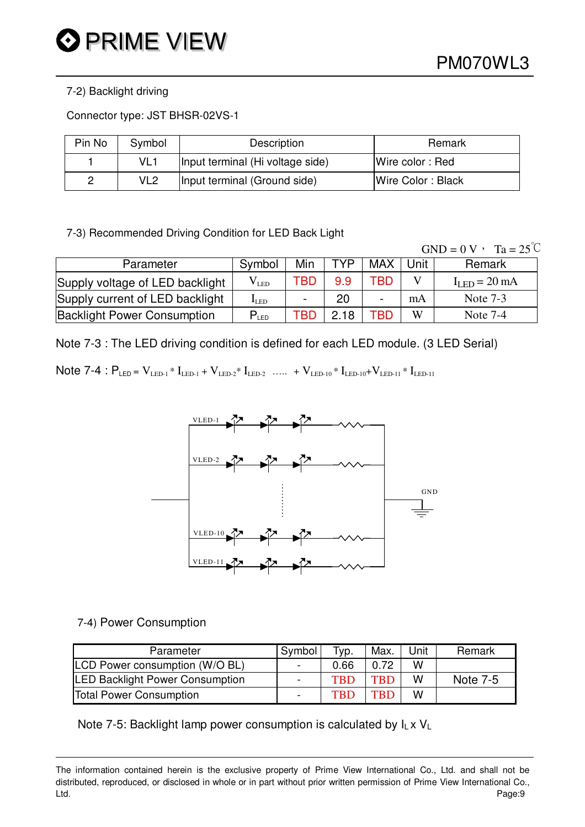#### 7-2) Backlight driving

Connector type: JST BHSR-02VS-1

| Pin No | Symbol | Description                      | Remark            |
|--------|--------|----------------------------------|-------------------|
|        | VL1    | Input terminal (Hi voltage side) | Wire color: Red   |
| ∩      | VL2    | Input terminal (Ground side)     | Wire Color: Black |

7-3) Recommended Driving Condition for LED Back Light

|                                    |               |     |            |     |      | $GND = 0 V$ , $Ta = 25^{\circ}C$ |
|------------------------------------|---------------|-----|------------|-----|------|----------------------------------|
| Parameter                          | Symbol        | Min | <b>TYP</b> | MAX | Unit | Remark                           |
| Supply voltage of LED backlight    | $\rm V_{LED}$ | TBD | 9.9        | TBD |      | $IIFD = 20 mA$                   |
| Supply current of LED backlight    | $I_{LED}$     | -   | 20         |     | mA   | Note $7-3$                       |
| <b>Backlight Power Consumption</b> | $P_{LED}$     | TBD | 2.18       | TBD | W    | Note $7-4$                       |

Note 7-3 : The LED driving condition is defined for each LED module. (3 LED Serial)

Note 7-4 :  $P_{LED} = V_{LED-1} * I_{LED-1} + V_{LED-2} * I_{LED-2}$  ….. +  $V_{LED-10} * I_{LED-10} + V_{LED-11} * I_{LED-11}$ 



7-4) Power Consumption

| Parameter                              | Symbol                   | $TVP$ .    | Max.       | Unit | Remark   |
|----------------------------------------|--------------------------|------------|------------|------|----------|
| LCD Power consumption (W/O BL)         | $\blacksquare$           | 0.66       | 0.72       | W    |          |
| <b>LED Backlight Power Consumption</b> | $\overline{\phantom{0}}$ | <b>TBD</b> | <b>TBD</b> | w    | Note 7-5 |
| <b>Total Power Consumption</b>         | $\blacksquare$           | <b>TRD</b> | TRD        | W    |          |

Note 7-5: Backlight lamp power consumption is calculated by  $I_L \times V_L$ 

The information contained herein is the exclusive property of Prime View International Co., Ltd. and shall not be distributed, reproduced, or disclosed in whole or in part without prior written permission of Prime View International Co., Ltd. Page:9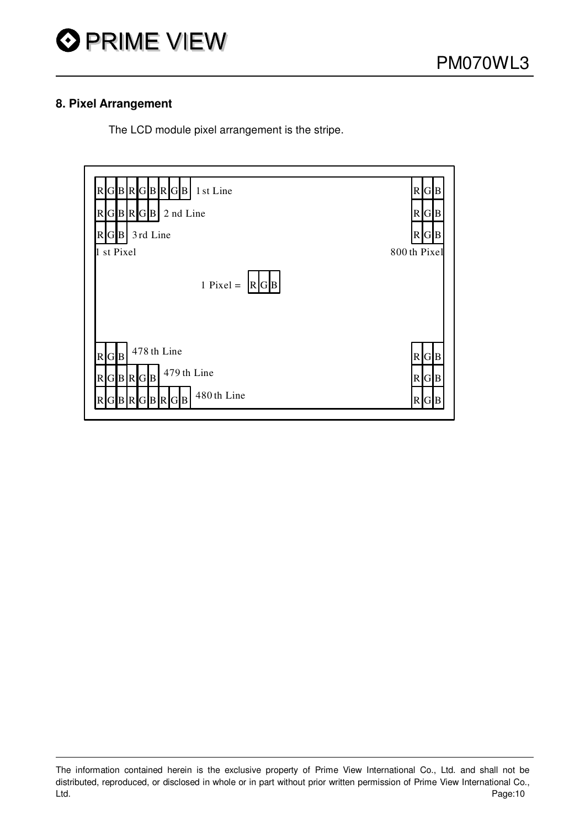

#### **8. Pixel Arrangement**

The LCD module pixel arrangement is the stripe.



The information contained herein is the exclusive property of Prime View International Co., Ltd. and shall not be distributed, reproduced, or disclosed in whole or in part without prior written permission of Prime View International Co., Ltd. Page:10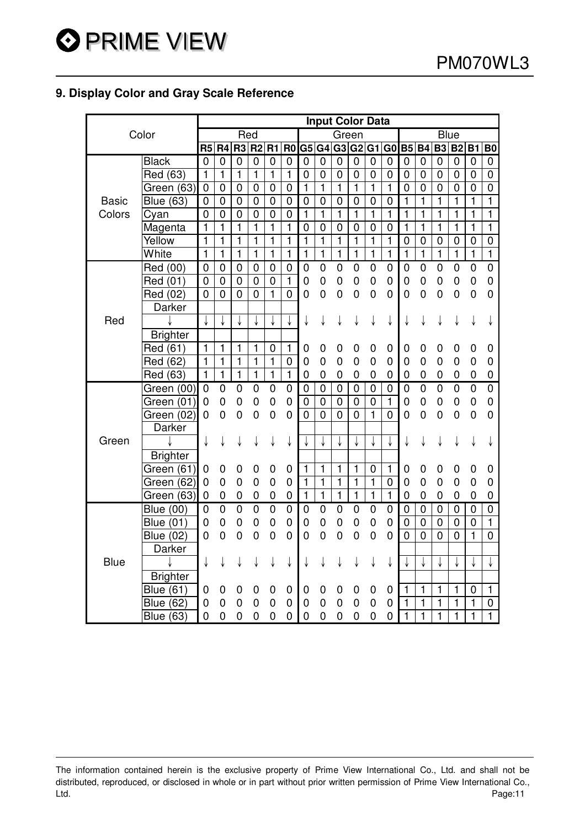#### **9. Display Color and Gray Scale Reference**

|              |                  |                |                  |                |                         |                |                |                         |                |                | <b>Input Color Data</b> |                |                |                |                |                |                |                |                         |
|--------------|------------------|----------------|------------------|----------------|-------------------------|----------------|----------------|-------------------------|----------------|----------------|-------------------------|----------------|----------------|----------------|----------------|----------------|----------------|----------------|-------------------------|
|              | Color            |                |                  | Red            |                         |                |                |                         |                | Green          |                         |                |                |                |                |                | <b>Blue</b>    |                |                         |
|              |                  | R <sub>5</sub> | R <sub>4</sub>   | R <sub>3</sub> | R <sub>2</sub>          | R1             | R <sub>0</sub> |                         | G5 G4          |                | G3 G2 G1                |                | G <sub>0</sub> | <b>B5</b>      | <b>B4</b>      | <b>B3</b>      | <b>B2</b>      | <b>B1</b>      | B <sub>0</sub>          |
|              | <b>Black</b>     | $\overline{0}$ | $\overline{0}$   | $\overline{0}$ | $\mathbf 0$             | $\mathbf 0$    | $\mathbf 0$    | $\mathbf 0$             | $\mathbf 0$    | $\mathbf 0$    | $\mathbf 0$             | 0              | $\mathbf 0$    | 0              | 0              | 0              | 0              | 0              | 0                       |
|              | Red (63)         | $\mathbf{1}$   | $\mathbf{1}$     | 1              | $\mathbf{1}$            | 1              | 1              | $\mathbf 0$             | $\mathbf 0$    | 0              | 0                       | 0              | 0              | 0              | 0              | 0              | 0              | 0              | $\overline{0}$          |
|              | Green (63)       | $\mathbf 0$    | $\mathbf 0$      | $\mathbf 0$    | $\mathbf 0$             | $\mathbf 0$    | $\mathbf 0$    | 1                       | $\mathbf{1}$   | $\mathbf{1}$   | $\mathbf{1}$            | $\mathbf{1}$   | $\mathbf{1}$   | $\mathbf 0$    | 0              | $\mathbf 0$    | 0              | 0              | 0                       |
| <b>Basic</b> | <b>Blue (63)</b> | $\mathbf 0$    | $\mathbf 0$      | $\mathbf 0$    | $\mathbf 0$             | $\mathbf 0$    | $\mathbf 0$    | $\mathbf 0$             | $\mathbf 0$    | $\mathbf 0$    | 0                       | 0              | $\mathbf 0$    | 1              | $\mathbf{1}$   | 1              | 1              | $\mathbf{1}$   | $\mathbf{1}$            |
| Colors       | Cyan             | $\overline{0}$ | $\overline{0}$   | $\mathbf 0$    | $\overline{0}$          | $\mathbf 0$    | $\overline{0}$ | $\overline{\mathbf{1}}$ | $\overline{1}$ | $\overline{1}$ | $\overline{1}$          | $\overline{1}$ | $\overline{1}$ | 1              | 1              | 1              | 1              | 1              | $\overline{\mathbf{1}}$ |
|              | Magenta          | $\mathbf{1}$   | $\mathbf{1}$     | $\mathbf{1}$   | $\mathbf{1}$            | $\mathbf{1}$   | $\mathbf{1}$   | $\mathbf 0$             | $\mathbf 0$    | $\mathbf 0$    | $\overline{0}$          | 0              | $\overline{0}$ | $\mathbf{1}$   | $\mathbf{1}$   | 1              | 1              | $\mathbf{1}$   | $\mathbf{1}$            |
|              | Yellow           | 1              | $\mathbf{1}$     | $\mathbf{1}$   | $\mathbf{1}$            | $\mathbf{1}$   | $\mathbf{1}$   | $\mathbf{1}$            | $\mathbf{1}$   | $\mathbf{1}$   | $\mathbf{1}$            | $\mathbf{1}$   | $\mathbf{1}$   | $\mathbf 0$    | $\pmb{0}$      | $\pmb{0}$      | $\pmb{0}$      | $\mathbf 0$    | 0                       |
|              | White            | $\mathbf{1}$   | $\mathbf{1}$     | $\mathbf{1}$   | $\mathbf{1}$            | $\mathbf{1}$   | $\mathbf{1}$   | $\mathbf{1}$            | $\mathbf{1}$   | $\mathbf{1}$   | $\mathbf{1}$            | $\mathbf{1}$   | $\mathbf{1}$   | $\mathbf{1}$   | $\mathbf{1}$   | $\mathbf{1}$   | $\mathbf{1}$   | $\mathbf{1}$   | $\mathbf{1}$            |
|              | Red (00)         | 0              | $\mathbf 0$      | $\mathbf 0$    | $\mathbf 0$             | $\mathbf 0$    | $\mathbf{0}$   | 0                       | $\mathbf 0$    | 0              | $\mathbf 0$             | $\mathbf 0$    | 0              | $\mathbf 0$    | 0              | $\mathbf 0$    | 0              | $\overline{0}$ | $\overline{0}$          |
|              | Red (01)         | $\overline{0}$ | $\overline{0}$   | $\mathbf 0$    | $\mathbf 0$             | $\overline{0}$ | $\mathbf{1}$   | $\mathbf 0$             | $\overline{0}$ | 0              | $\overline{0}$          | $\mathbf 0$    | 0              | $\mathbf 0$    | 0              | $\mathbf 0$    | $\mathbf 0$    | $\overline{0}$ | 0                       |
|              | Red (02)         | $\overline{0}$ | $\overline{0}$   | $\overline{0}$ | $\overline{0}$          | $\mathbf{1}$   | $\overline{0}$ | 0                       | 0              | 0              | $\overline{0}$          | 0              | 0              | $\mathbf 0$    | $\overline{0}$ | 0              | 0              | $\mathbf 0$    | 0                       |
|              | Darker           |                |                  |                |                         |                |                |                         |                |                |                         |                |                |                |                |                |                |                |                         |
| Red          |                  |                |                  |                |                         |                |                | ↓                       | ↓              | ↓              | ↓                       | ↓              | ↓              | ↓              | ↓              | ↓              | ↓              | ↓              | ↓                       |
|              | <b>Brighter</b>  |                |                  |                |                         |                |                |                         |                |                |                         |                |                |                |                |                |                |                |                         |
|              | Red (61)         | $\mathbf{1}$   | $\mathbf{1}$     | $\mathbf{1}$   | $\mathbf{1}$            | $\mathbf 0$    | $\mathbf{1}$   | 0                       | 0              | 0              | 0                       | 0              | 0              | 0              | 0              | $\mathbf 0$    | 0              | 0              | 0                       |
|              | Red (62)         | $\overline{1}$ | $\overline{1}$   | $\mathbf{1}$   | $\overline{1}$          | $\mathbf{1}$   | $\mathbf 0$    | $\mathbf 0$             | 0              | 0              | $\mathbf 0$             | 0              | 0              | 0              | 0              | $\mathbf 0$    | 0              | $\mathbf 0$    | 0                       |
|              | Red (63)         | $\mathbf{1}$   | $\overline{1}$   | $\mathbf{1}$   | $\overline{\mathbf{1}}$ | $\mathbf{1}$   | $\overline{1}$ | $\mathbf 0$             | $\mathbf 0$    | 0              | $\mathbf 0$             | 0              | 0              | 0              | 0              | $\mathbf 0$    | 0              | $\mathbf 0$    | $\mathbf 0$             |
|              | Green (00)       | 0              | $\boldsymbol{0}$ | 0              | $\boldsymbol{0}$        | $\mathbf 0$    | 0              | 0                       | $\mathbf 0$    | $\pmb{0}$      | $\mathbf 0$             | $\mathbf 0$    | 0              | 0              | $\overline{0}$ | $\overline{0}$ | $\overline{0}$ | $\overline{0}$ | $\overline{0}$          |
|              | Green (01)       | 0              | 0                | 0              | 0                       | $\mathbf 0$    | $\overline{0}$ | 0                       | $\mathbf 0$    | $\overline{0}$ | $\mathbf 0$             | 0              | $\mathbf{1}$   | 0              | 0              | $\mathbf 0$    | 0              | $\mathbf 0$    | 0                       |
|              | Green (02)       | 0              | $\overline{0}$   | $\mathbf 0$    | $\mathbf 0$             | 0              | 0              | $\overline{0}$          | $\overline{0}$ | $\overline{0}$ | $\overline{0}$          | 1              | 0              | $\overline{0}$ | $\overline{0}$ | 0              | $\mathbf 0$    | $\pmb{0}$      | 0                       |
|              | Darker           |                |                  |                |                         |                |                |                         |                |                |                         |                |                |                |                |                |                |                |                         |
| Green        |                  | ↓              | ↓                | ↓              | ↓                       | ↓              | ↓              |                         |                | ↓              |                         |                |                | ↓              | ↓              | ↓              | ↓              | ↓              |                         |
|              | <b>Brighter</b>  |                |                  |                |                         |                |                |                         |                |                |                         |                |                |                |                |                |                |                |                         |
|              | Green (61)       | 0              | 0                | 0              | 0                       | 0              | 0              | 1                       | 1              | 1              | 1                       | 0              | 1              | 0              | 0              | 0              | 0              | 0              | 0                       |
|              | Green (62)       | $\mathbf 0$    | $\overline{0}$   | $\mathbf 0$    | $\mathbf 0$             | $\mathbf 0$    | $\mathbf 0$    | 1                       | 1              | 1              | $\mathbf{1}$            | $\mathbf{1}$   | $\mathbf 0$    | $\mathbf 0$    | $\mathbf 0$    | $\mathbf 0$    | 0              | $\mathbf 0$    | 0                       |
|              | (63)<br>Green    | $\mathbf 0$    | 0                | 0              | 0                       | $\pmb{0}$      | 0              | 1                       | 1              | 1              | 1                       | $\mathbf{1}$   | $\mathbf{1}$   | 0              | 0              | $\mathbf 0$    | 0              | 0              | 0                       |
|              | <b>Blue (00)</b> | $\mathbf 0$    | $\mathbf 0$      | $\mathbf 0$    | $\mathbf 0$             | $\mathbf 0$    | $\mathbf 0$    | $\mathbf 0$             | $\mathbf 0$    | 0              | 0                       | $\mathbf 0$    | 0              | $\mathbf 0$    | $\mathbf 0$    | 0              | 0              | 0              | 0                       |
|              | <b>Blue (01)</b> | 0              | $\mathbf 0$      | $\mathbf 0$    | $\mathbf 0$             | 0              | 0              | $\mathbf 0$             | $\mathbf 0$    | 0              | $\mathbf 0$             | $\mathbf 0$    | 0              | 0              | $\mathbf 0$    | $\mathbf 0$    | 0              | 0              | $\mathbf{1}$            |
|              | <b>Blue (02)</b> | 0              | 0                | $\mathbf 0$    | $\overline{0}$          | $\overline{0}$ | 0              | $\mathbf 0$             | 0              | $\mathbf 0$    | $\mathbf 0$             | $\mathbf 0$    | $\overline{0}$ | $\mathbf 0$    | $\overline{0}$ | $\mathbf 0$    | $\overline{0}$ | $\mathbf{1}$   | $\overline{0}$          |
|              | Darker           |                |                  |                |                         |                |                |                         |                |                |                         |                |                |                |                |                |                |                |                         |
| <b>Blue</b>  |                  | ↓              | ↓                | ↓              | ↓                       | ↓              | ↓              |                         |                |                |                         | ↓              | ↓              | ↓              | ↓              | ↓              | ↓              | ↓              | ↓                       |
|              | <b>Brighter</b>  |                |                  |                |                         |                |                |                         |                |                |                         |                |                |                |                |                |                |                |                         |
|              | <b>Blue (61)</b> | 0              | 0                | 0              | 0                       | 0              | 0              | 0                       | 0              | 0              | 0                       | 0              | 0              | 1              | 1              | 1              | 1              | 0              | $\mathbf{1}$            |
|              | <b>Blue (62)</b> | 0              | 0                | 0              | 0                       | 0              | 0              | $\mathbf 0$             | 0              | 0              | 0                       | 0              | 0              | $\mathbf{1}$   | $\mathbf{1}$   | 1              | 1              | 1              | 0                       |
|              | <b>Blue (63)</b> | $\mathbf 0$    | $\overline{0}$   | $\overline{0}$ | 0                       | $\overline{0}$ | $\overline{0}$ | $\overline{0}$          | 0              | 0              | 0                       | $\overline{0}$ | $\mathbf 0$    | $\mathbf{1}$   | $\mathbf{1}$   | 1              | $\mathbf{1}$   | $\mathbf 1$    | 1                       |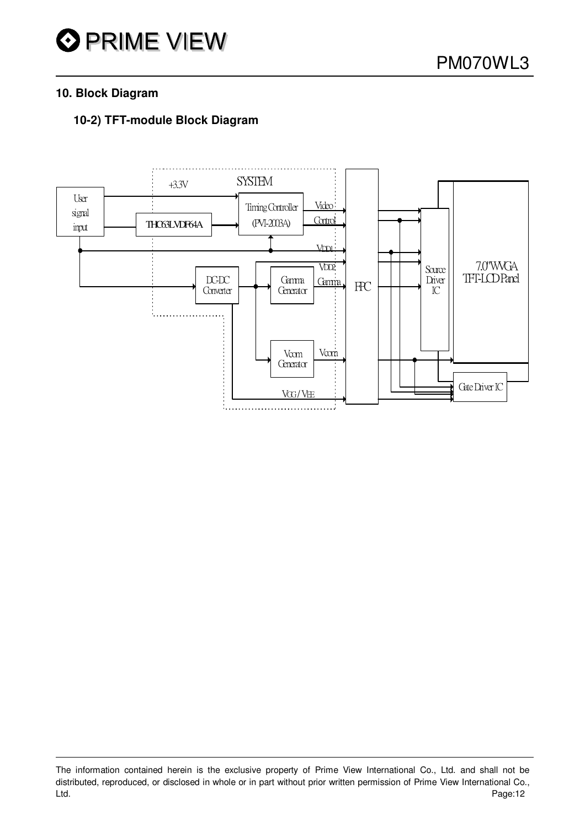#### **10. Block Diagram**

#### **10-2) TFT-module Block Diagram**



The information contained herein is the exclusive property of Prime View International Co., Ltd. and shall not be distributed, reproduced, or disclosed in whole or in part without prior written permission of Prime View International Co., Ltd. Page:12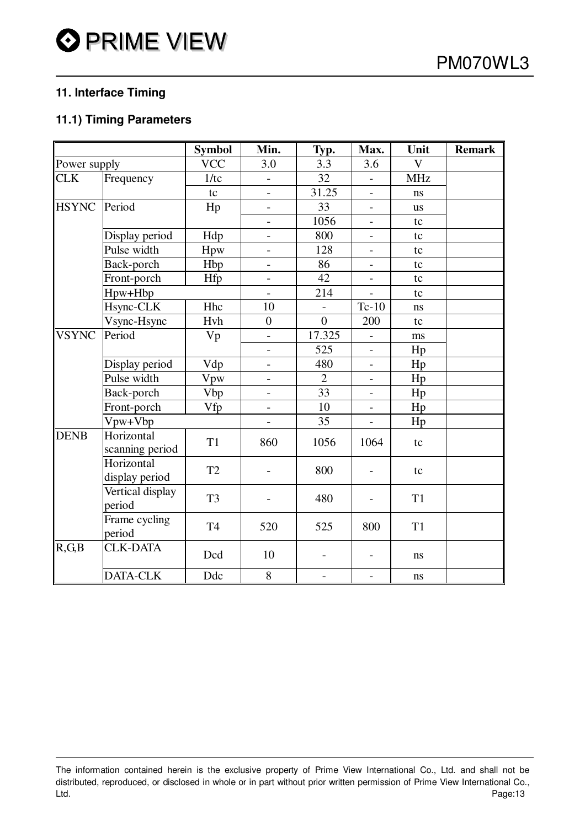#### **11. Interface Timing**

#### **11.1) Timing Parameters**

|                       |                               | <b>Symbol</b>  | Min.                     | Typ.                     | Max.                     | Unit           | <b>Remark</b> |
|-----------------------|-------------------------------|----------------|--------------------------|--------------------------|--------------------------|----------------|---------------|
| Power supply          |                               | <b>VCC</b>     | 3.0                      | 3.3                      | 3.6                      | $\mathbf V$    |               |
| <b>CLK</b>            | Frequency                     | 1/tc           | $\overline{\phantom{a}}$ | 32                       | $\overline{\phantom{a}}$ | <b>MHz</b>     |               |
|                       |                               | tc             | $\overline{\phantom{0}}$ | 31.25                    | $\overline{\phantom{a}}$ | ns             |               |
| <b>HSYNC</b>          | Period                        | Hp             |                          | 33                       | $\blacksquare$           | <b>us</b>      |               |
|                       |                               |                | $\overline{\phantom{0}}$ | 1056                     | $\overline{\phantom{a}}$ | tc             |               |
|                       | Display period                | Hdp            |                          | 800                      |                          | tc             |               |
|                       | Pulse width                   | Hpw            | $\overline{\phantom{0}}$ | 128                      | $\overline{\phantom{a}}$ | tc             |               |
|                       | Back-porch                    | Hbp            | $\overline{\phantom{a}}$ | 86                       | $\overline{\phantom{a}}$ | tc             |               |
|                       | Front-porch                   | Hfp            |                          | 42                       | $\overline{a}$           | tc             |               |
|                       | Hpw+Hbp                       |                |                          | 214                      | $\blacksquare$           | tc             |               |
|                       | Hsync-CLK                     | Hhc            | 10                       |                          | $Tc-10$                  | ns             |               |
|                       | Vsync-Hsync                   | Hvh            | $\overline{0}$           | $\overline{0}$           | 200                      | tc             |               |
| <b>VSYNC</b>          | Period                        | Vp             | $\overline{a}$           | 17.325                   |                          | ms             |               |
|                       |                               |                |                          | 525                      | $\overline{\phantom{a}}$ | Hp             |               |
|                       | Display period                | Vdp            | $\overline{\phantom{a}}$ | 480                      | $\overline{\phantom{a}}$ | Hp             |               |
|                       | Pulse width                   | Vpw            | $\overline{\phantom{0}}$ | $\overline{2}$           | $\overline{\phantom{a}}$ | Hp             |               |
|                       | Back-porch                    | Vbp            | $\overline{\phantom{0}}$ | 33                       | $\overline{\phantom{a}}$ | Hp             |               |
|                       | Front-porch                   | Vfp            | $\overline{\phantom{0}}$ | 10                       | $\overline{\phantom{a}}$ | Hp             |               |
|                       | Vpw+Vbp                       |                |                          | 35                       |                          | Hp             |               |
| <b>DENB</b>           | Horizontal<br>scanning period | T1             | 860                      | 1056                     | 1064                     | tc             |               |
|                       | Horizontal<br>display period  | T <sub>2</sub> |                          | 800                      |                          | tc             |               |
|                       | Vertical display<br>period    | T <sub>3</sub> |                          | 480                      |                          | T <sub>1</sub> |               |
|                       | Frame cycling<br>period       | T <sub>4</sub> | 520                      | 525                      | 800                      | T <sub>1</sub> |               |
| $\overline{R}$ , G, B | <b>CLK-DATA</b>               | Dcd            | 10                       |                          |                          | $\bf ns$       |               |
|                       | DATA-CLK                      | Ddc            | 8                        | $\overline{\phantom{a}}$ | $\overline{\phantom{a}}$ | ns             |               |

The information contained herein is the exclusive property of Prime View International Co., Ltd. and shall not be distributed, reproduced, or disclosed in whole or in part without prior written permission of Prime View International Co., Ltd. Page:13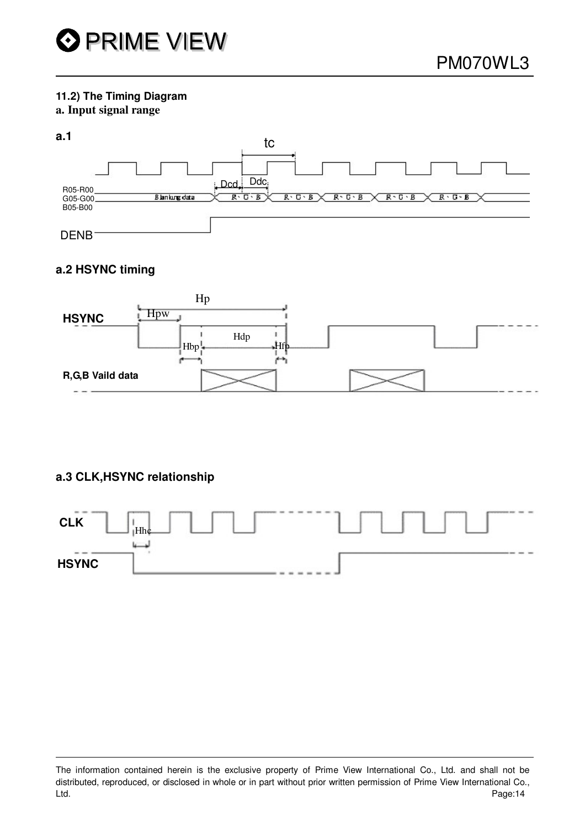#### **11.2) The Timing Diagram**

#### **a. Input signal range**

#### **a.1**



#### **a.2 HSYNC timing**



#### **a.3 CLK,HSYNC relationship**



The information contained herein is the exclusive property of Prime View International Co., Ltd. and shall not be distributed, reproduced, or disclosed in whole or in part without prior written permission of Prime View International Co., Ltd. Page:14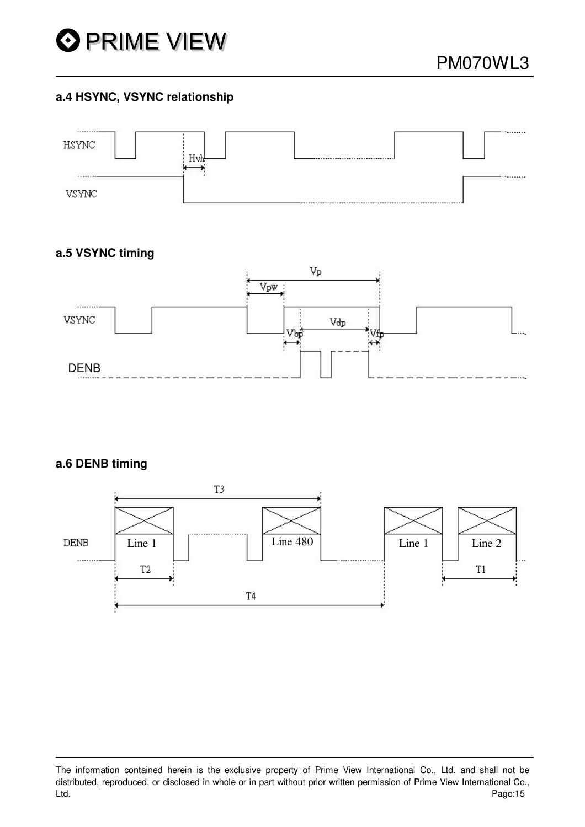

#### **a.4 HSYNC, VSYNC relationship**



#### **a.5 VSYNC timing**



#### **a.6 DENB timing**



The information contained herein is the exclusive property of Prime View International Co., Ltd. and shall not be distributed, reproduced, or disclosed in whole or in part without prior written permission of Prime View International Co., Ltd. Page:15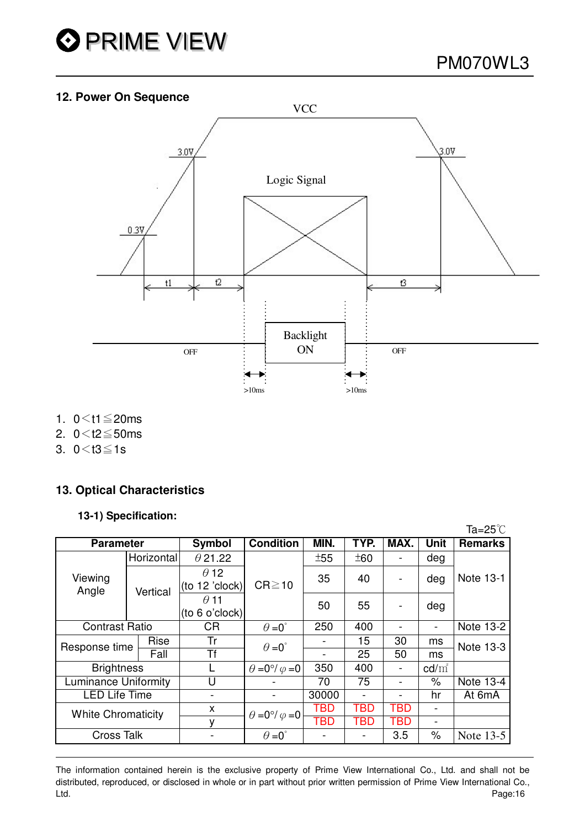

 $\sim$ 

#### **12. Power On Sequence**



- 1.  $0 < t1 \le 20$ ms
- 2.  $0 < t2 \le 50$ ms
- 3.  $0 < t3 \le 1s$

#### **13. Optical Characteristics**

#### **13-1) Specification:**

|                             |                    |                               |                                  |            |                          |                          |                          | ia=25 C        |
|-----------------------------|--------------------|-------------------------------|----------------------------------|------------|--------------------------|--------------------------|--------------------------|----------------|
| <b>Parameter</b>            |                    | <b>Symbol</b>                 | <b>Condition</b>                 | MIN.       | TYP.                     | MAX.                     | <b>Unit</b>              | <b>Remarks</b> |
| Viewing<br>Angle            | Horizontal         | $\theta$ 21.22                |                                  | ±55        | ±60                      | $\overline{\phantom{0}}$ | deg                      |                |
|                             | Vertical           | $\theta$ 12<br>(to 12 'clock) | $CR \ge 10$                      | 35         | 40                       |                          | deg                      | Note 13-1      |
|                             |                    | $\theta$ 11<br>(to 6 o'clock) |                                  | 50         | 55                       | $\overline{a}$           | deg                      |                |
| <b>Contrast Ratio</b>       |                    | <b>CR</b>                     | $\theta = 0^{\circ}$             | 250        | 400                      |                          | $\overline{\phantom{0}}$ | Note 13-2      |
| Response time               | Rise               | Tr                            | $\theta = 0^{\circ}$             |            | 15                       | 30                       | ms                       | Note 13-3      |
|                             | $\overline{F}$ all | $\overline{\mathsf{Tf}}$      |                                  |            | 25                       | 50                       | ms                       |                |
| <b>Brightness</b>           |                    |                               | $\theta = 0^{\circ}/\varphi = 0$ | 350        | 400                      | $\overline{a}$           | $\text{cd/m}^2$          |                |
| <b>Luminance Uniformity</b> |                    | U                             |                                  | 70         | 75                       |                          | $\%$                     | Note 13-4      |
| <b>LED Life Time</b>        |                    |                               |                                  | 30000      | $\overline{\phantom{0}}$ |                          | hr                       | At 6mA         |
| <b>White Chromaticity</b>   |                    | X                             | $\theta = 0^{\circ}/\varphi = 0$ | <b>TBD</b> | TBD                      | TBD                      | $\overline{\phantom{a}}$ |                |
|                             |                    | ٧                             |                                  | TBD        | TBD                      | TBD                      | $\overline{\phantom{0}}$ |                |
| <b>Cross Talk</b>           |                    |                               | $\theta = 0^{\circ}$             |            |                          | 3.5                      | $\%$                     | Note 13-5      |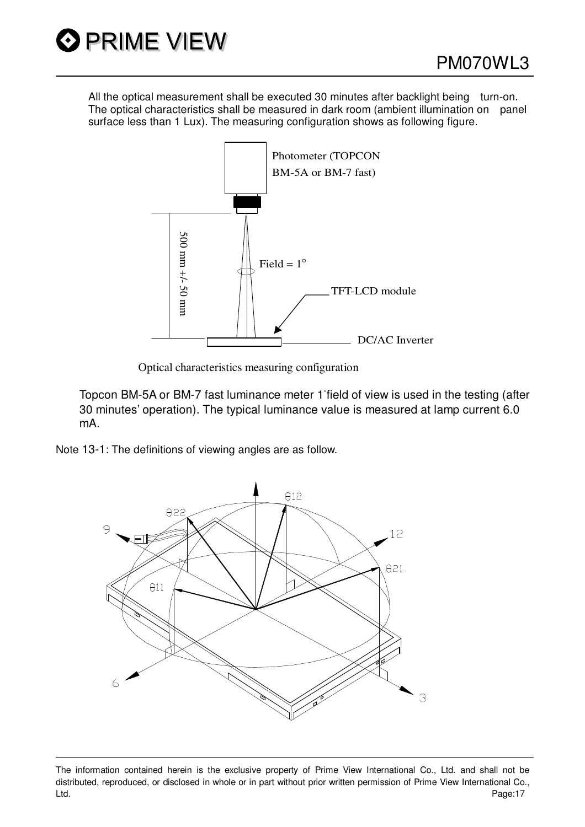All the optical measurement shall be executed 30 minutes after backlight being turn-on. The optical characteristics shall be measured in dark room (ambient illumination on panel surface less than 1 Lux). The measuring configuration shows as following figure.



Optical characteristics measuring configuration

Topcon BM-5A or BM-7 fast luminance meter 1 field of view is used in the testing (after 30 minutes' operation). The typical luminance value is measured at lamp current 6.0 mA.

Note 13-1: The definitions of viewing angles are as follow.



The information contained herein is the exclusive property of Prime View International Co., Ltd. and shall not be distributed, reproduced, or disclosed in whole or in part without prior written permission of Prime View International Co., Ltd. Page:17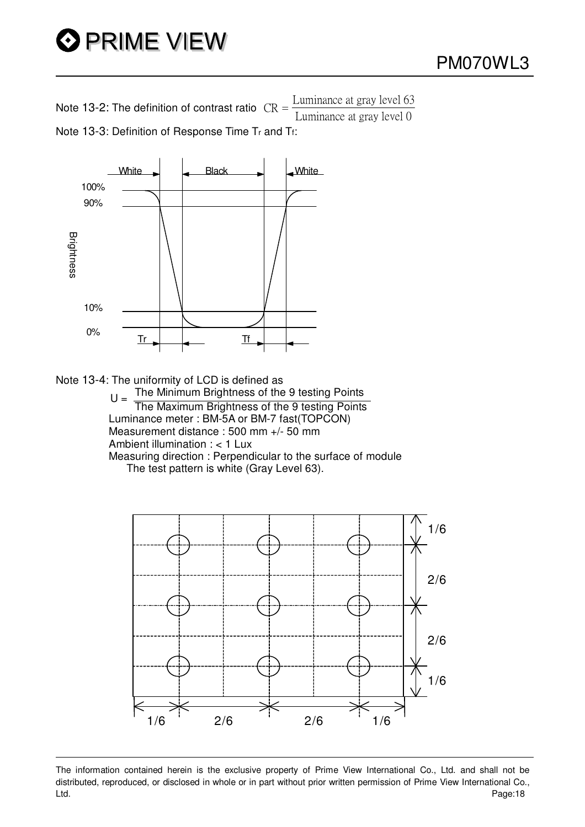# **O PRIME VIEW**

Note 13-2: The definition of contrast ratio  $CR =$  $\frac{\text{Luminance at gray level } 63}{\text{Luminance at gray level } 0}$ Note 13-3: Definition of Response Time Tr and Tf:



Note 13-4: The uniformity of LCD is defined as<br>The Minimum Brightness of the 9 testing Points

 $U = \frac{1}{\pi}$ The Minimum Brightness of the 9 testing Points Luminance meter : BM-5A or BM-7 fast(TOPCON) Measurement distance : 500 mm +/- 50 mm Ambient illumination : < 1 Lux Measuring direction : Perpendicular to the surface of module The test pattern is white (Gray Level 63).



The information contained herein is the exclusive property of Prime View International Co., Ltd. and shall not be distributed, reproduced, or disclosed in whole or in part without prior written permission of Prime View International Co., Ltd. Page:18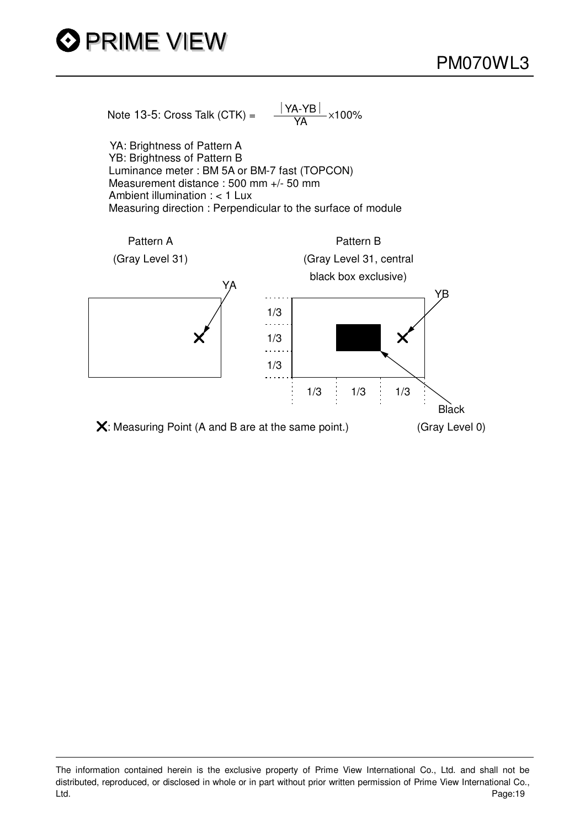



YA: Brightness of Pattern A YB: Brightness of Pattern B Luminance meter : BM 5A or BM-7 fast (TOPCON) Measurement distance : 500 mm +/- 50 mm Ambient illumination : < 1 Lux Measuring direction : Perpendicular to the surface of module



The information contained herein is the exclusive property of Prime View International Co., Ltd. and shall not be distributed, reproduced, or disclosed in whole or in part without prior written permission of Prime View International Co., Ltd. Page:19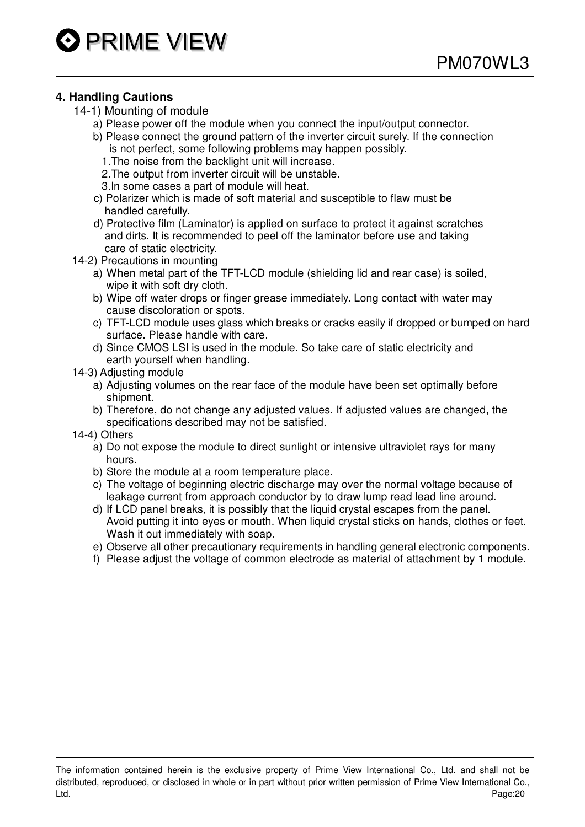#### **4. Handling Cautions**

- 14-1) Mounting of module
	- a) Please power off the module when you connect the input/output connector.
	- b) Please connect the ground pattern of the inverter circuit surely. If the connection is not perfect, some following problems may happen possibly.
		- 1.The noise from the backlight unit will increase.
		- 2.The output from inverter circuit will be unstable.
		- 3.In some cases a part of module will heat.
	- c) Polarizer which is made of soft material and susceptible to flaw must be handled carefully.
	- d) Protective film (Laminator) is applied on surface to protect it against scratches and dirts. It is recommended to peel off the laminator before use and taking care of static electricity.
- 14-2) Precautions in mounting
	- a) When metal part of the TFT-LCD module (shielding lid and rear case) is soiled, wipe it with soft dry cloth.
	- b) Wipe off water drops or finger grease immediately. Long contact with water may cause discoloration or spots.
	- c) TFT-LCD module uses glass which breaks or cracks easily if dropped or bumped on hard surface. Please handle with care.
	- d) Since CMOS LSI is used in the module. So take care of static electricity and earth yourself when handling.
- 14-3) Adjusting module
	- a) Adjusting volumes on the rear face of the module have been set optimally before shipment.
	- b) Therefore, do not change any adjusted values. If adjusted values are changed, the specifications described may not be satisfied.
- 14-4) Others
	- a) Do not expose the module to direct sunlight or intensive ultraviolet rays for many hours.
	- b) Store the module at a room temperature place.
	- c) The voltage of beginning electric discharge may over the normal voltage because of leakage current from approach conductor by to draw lump read lead line around.
	- d) If LCD panel breaks, it is possibly that the liquid crystal escapes from the panel. Avoid putting it into eyes or mouth. When liquid crystal sticks on hands, clothes or feet. Wash it out immediately with soap.
	- e) Observe all other precautionary requirements in handling general electronic components.
	- f) Please adjust the voltage of common electrode as material of attachment by 1 module.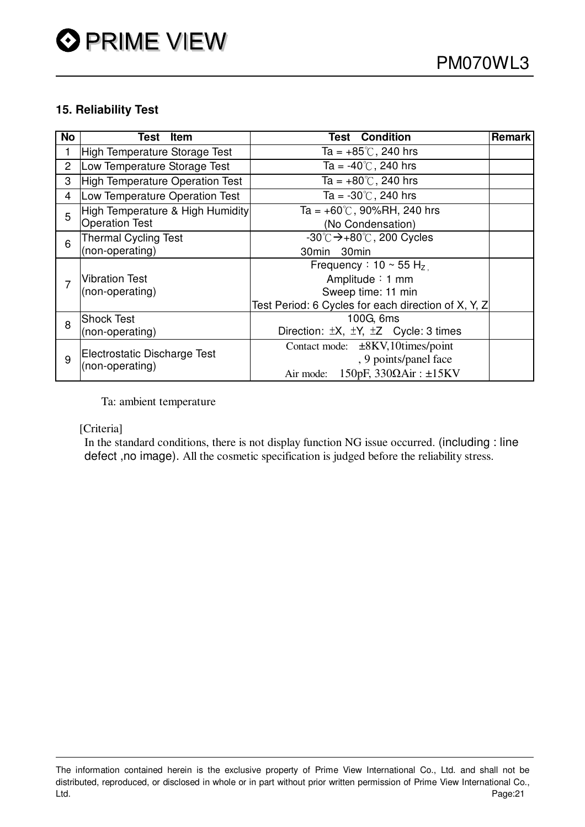#### **15. Reliability Test**

| No             | Item<br>Test                     | <b>Test Condition</b><br><b>Remark</b>                  |  |  |  |
|----------------|----------------------------------|---------------------------------------------------------|--|--|--|
|                | High Temperature Storage Test    | Ta = $+85^{\circ}$ C, 240 hrs                           |  |  |  |
| $\overline{2}$ | Low Temperature Storage Test     | Ta = $-40^{\circ}$ C, 240 hrs                           |  |  |  |
| 3              | High Temperature Operation Test  | Ta = $+80^{\circ}$ C, 240 hrs                           |  |  |  |
| 4              | Low Temperature Operation Test   | Ta = $-30^{\circ}$ C, 240 hrs                           |  |  |  |
| 5              | High Temperature & High Humidity | Ta = $+60^{\circ}$ C, 90%RH, 240 hrs                    |  |  |  |
|                | <b>Operation Test</b>            | (No Condensation)                                       |  |  |  |
| 6              | <b>Thermal Cycling Test</b>      | $-30^{\circ}$ C $\rightarrow +80^{\circ}$ C, 200 Cycles |  |  |  |
|                | (non-operating)                  | 30min 30min                                             |  |  |  |
|                |                                  | Frequency: $10 \sim 55$ H <sub>z</sub>                  |  |  |  |
|                | <b>Vibration Test</b>            | Amplitude: 1 mm                                         |  |  |  |
|                | (non-operating)                  | Sweep time: 11 min                                      |  |  |  |
|                |                                  | Test Period: 6 Cycles for each direction of X, Y, Z     |  |  |  |
| 8              | <b>Shock Test</b>                | 100G, 6ms                                               |  |  |  |
|                | (non-operating)                  | Direction: $\pm X$ , $\pm Y$ , $\pm Z$ Cycle: 3 times   |  |  |  |
| 9              |                                  | Contact mode: ±8KV,10times/point                        |  |  |  |
|                | Electrostatic Discharge Test     | , 9 points/panel face                                   |  |  |  |
|                | (non-operating)                  | $150pF, 330\Omega Air : \pm 15KV$<br>Air mode:          |  |  |  |

Ta: ambient temperature

#### [Criteria]

In the standard conditions, there is not display function NG issue occurred. (including : line defect ,no image). All the cosmetic specification is judged before the reliability stress.

The information contained herein is the exclusive property of Prime View International Co., Ltd. and shall not be distributed, reproduced, or disclosed in whole or in part without prior written permission of Prime View International Co., Ltd. Page:21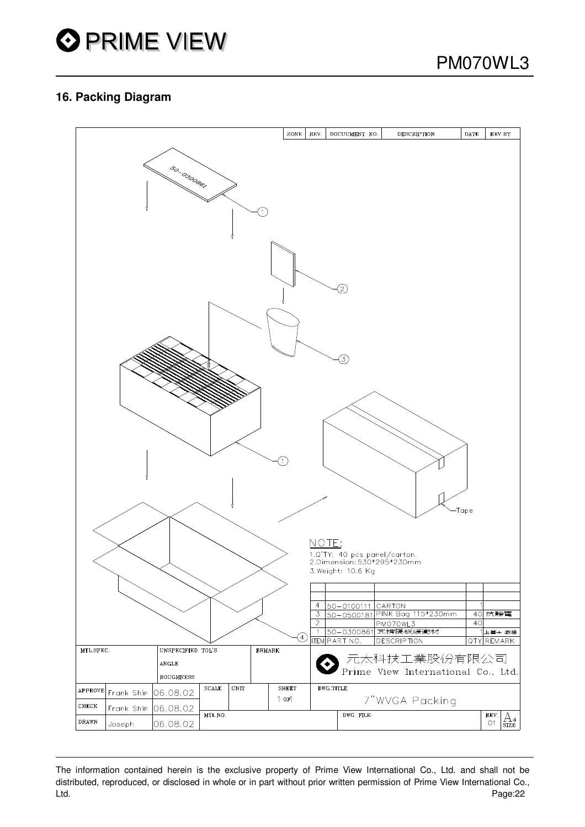#### **16. Packing Diagram**



The information contained herein is the exclusive property of Prime View International Co., Ltd. and shall not be distributed, reproduced, or disclosed in whole or in part without prior written permission of Prime View International Co., Ltd. Page:22